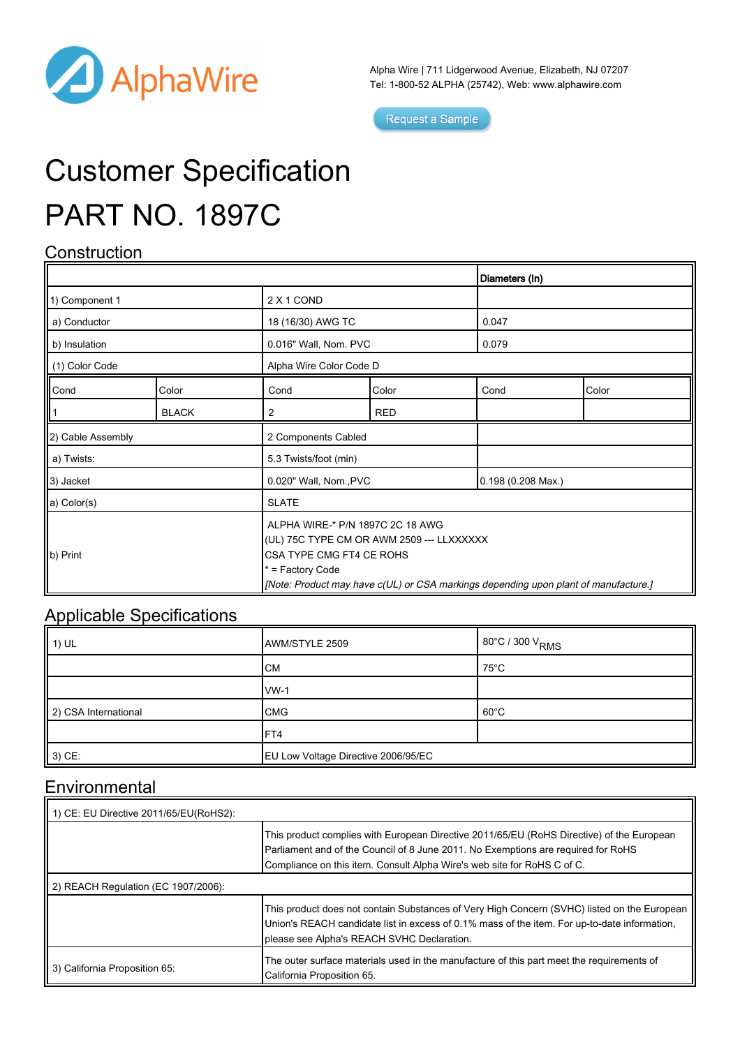

Alpha Wire | 711 Lidgerwood Avenue, Elizabeth, NJ 07207 Tel: 1-800-52 ALPHA (25742), Web: [www.alphawire.com](http://www.alphawire.com)

Request a Sample

# Customer Specification PART NO. 1897C

### **Construction**

|                       |              |              |                                                                                                                                                                                                                      | Diameters (In) |                    |  |
|-----------------------|--------------|--------------|----------------------------------------------------------------------------------------------------------------------------------------------------------------------------------------------------------------------|----------------|--------------------|--|
| 1) Component 1        |              | 2 X 1 COND   |                                                                                                                                                                                                                      |                |                    |  |
| a) Conductor          |              |              | 18 (16/30) AWG TC                                                                                                                                                                                                    |                | 0.047              |  |
| b) Insulation         |              |              | 0.016" Wall, Nom. PVC                                                                                                                                                                                                |                | 0.079              |  |
| (1) Color Code        |              |              | Alpha Wire Color Code D                                                                                                                                                                                              |                |                    |  |
| Cond                  | Color        | Cond         | Color                                                                                                                                                                                                                | Cond           | Color              |  |
|                       | <b>BLACK</b> | 2            | <b>RED</b>                                                                                                                                                                                                           |                |                    |  |
| 2) Cable Assembly     |              |              | 2 Components Cabled                                                                                                                                                                                                  |                |                    |  |
| a) Twists:            |              |              | 5.3 Twists/foot (min)                                                                                                                                                                                                |                |                    |  |
| 3) Jacket             |              |              | 0.020" Wall, Nom., PVC                                                                                                                                                                                               |                | 0.198 (0.208 Max.) |  |
| a) Color(s)           |              | <b>SLATE</b> |                                                                                                                                                                                                                      |                |                    |  |
| $\vert\vert$ b) Print |              |              | ALPHA WIRE-* P/N 1897C 2C 18 AWG<br>(UL) 75C TYPE CM OR AWM 2509 --- LLXXXXXX<br>CSA TYPE CMG FT4 CE ROHS<br>* = Factory Code<br>[Note: Product may have c(UL) or CSA markings depending upon plant of manufacture.] |                |                    |  |

#### Applicable Specifications

| $\parallel$ 1) UL    | AWM/STYLE 2509                      | 80°C / 300 V <sub>RMS</sub> |
|----------------------|-------------------------------------|-----------------------------|
|                      | <b>CM</b>                           | 75°C                        |
|                      | $vw-1$                              |                             |
| 2) CSA International | <b>CMG</b>                          | $60^{\circ}$ C              |
|                      | IFT4                                |                             |
| $3)$ CE:             | EU Low Voltage Directive 2006/95/EC |                             |

#### Environmental

| 1) CE: EU Directive 2011/65/EU(RoHS2): |                                                                                                                                                                                                                                                           |  |  |  |
|----------------------------------------|-----------------------------------------------------------------------------------------------------------------------------------------------------------------------------------------------------------------------------------------------------------|--|--|--|
|                                        | This product complies with European Directive 2011/65/EU (RoHS Directive) of the European<br>Parliament and of the Council of 8 June 2011. No Exemptions are required for RoHS<br>Compliance on this item. Consult Alpha Wire's web site for RoHS C of C. |  |  |  |
| 2) REACH Regulation (EC 1907/2006):    |                                                                                                                                                                                                                                                           |  |  |  |
|                                        | This product does not contain Substances of Very High Concern (SVHC) listed on the European<br>Union's REACH candidate list in excess of 0.1% mass of the item. For up-to-date information,<br>please see Alpha's REACH SVHC Declaration.                 |  |  |  |
| 3) California Proposition 65:          | The outer surface materials used in the manufacture of this part meet the requirements of<br>California Proposition 65.                                                                                                                                   |  |  |  |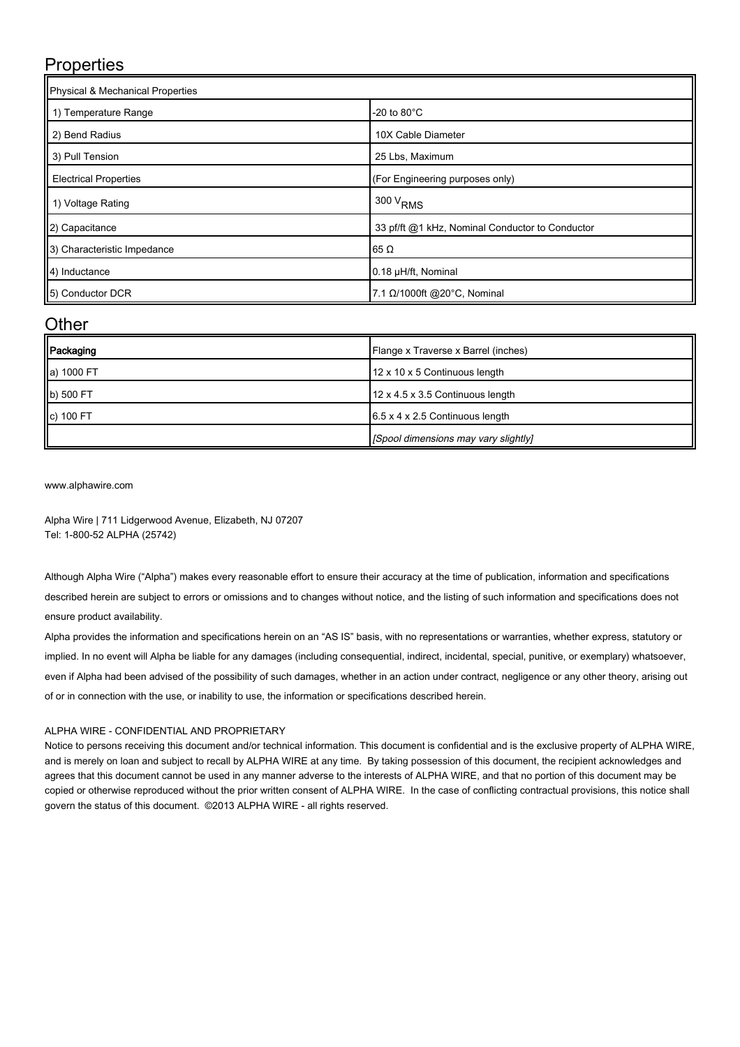### **Properties**

| Physical & Mechanical Properties |                                                 |  |  |  |
|----------------------------------|-------------------------------------------------|--|--|--|
| 1) Temperature Range             | -20 to $80^{\circ}$ C                           |  |  |  |
| 2) Bend Radius                   | 10X Cable Diameter                              |  |  |  |
| 3) Pull Tension                  | 25 Lbs, Maximum                                 |  |  |  |
| <b>Electrical Properties</b>     | (For Engineering purposes only)                 |  |  |  |
| 1) Voltage Rating                | $1300 V_{RMS}$                                  |  |  |  |
| 2) Capacitance                   | 33 pf/ft @1 kHz, Nominal Conductor to Conductor |  |  |  |
| 3) Characteristic Impedance      | $65 \Omega$                                     |  |  |  |
| 4) Inductance                    | 0.18 µH/ft, Nominal                             |  |  |  |
| 5) Conductor DCR                 | 7.1 Ω/1000ft @20°C, Nominal                     |  |  |  |

#### **Other**

| Packaging  | Flange x Traverse x Barrel (inches)         |
|------------|---------------------------------------------|
| a) 1000 FT | 12 x 10 x 5 Continuous length               |
| b) 500 FT  | 12 x 4.5 x 3.5 Continuous length            |
| c) 100 FT  | $6.5 \times 4 \times 2.5$ Continuous length |
|            | [Spool dimensions may vary slightly]        |

[www.alphawire.com](http://www.alphawire.com)

Alpha Wire | 711 Lidgerwood Avenue, Elizabeth, NJ 07207 Tel: 1-800-52 ALPHA (25742)

Although Alpha Wire ("Alpha") makes every reasonable effort to ensure their accuracy at the time of publication, information and specifications described herein are subject to errors or omissions and to changes without notice, and the listing of such information and specifications does not ensure product availability.

Alpha provides the information and specifications herein on an "AS IS" basis, with no representations or warranties, whether express, statutory or implied. In no event will Alpha be liable for any damages (including consequential, indirect, incidental, special, punitive, or exemplary) whatsoever, even if Alpha had been advised of the possibility of such damages, whether in an action under contract, negligence or any other theory, arising out of or in connection with the use, or inability to use, the information or specifications described herein.

#### ALPHA WIRE - CONFIDENTIAL AND PROPRIETARY

Notice to persons receiving this document and/or technical information. This document is confidential and is the exclusive property of ALPHA WIRE, and is merely on loan and subject to recall by ALPHA WIRE at any time. By taking possession of this document, the recipient acknowledges and agrees that this document cannot be used in any manner adverse to the interests of ALPHA WIRE, and that no portion of this document may be copied or otherwise reproduced without the prior written consent of ALPHA WIRE. In the case of conflicting contractual provisions, this notice shall govern the status of this document. ©2013 ALPHA WIRE - all rights reserved.